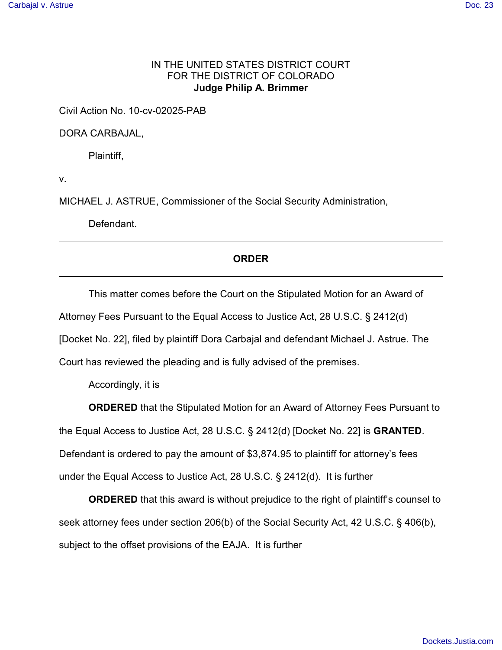## IN THE UNITED STATES DISTRICT COURT FOR THE DISTRICT OF COLORADO **Judge Philip A. Brimmer**

Civil Action No. 10-cv-02025-PAB

DORA CARBAJAL,

Plaintiff,

v.

MICHAEL J. ASTRUE, Commissioner of the Social Security Administration,

Defendant.

## **ORDER**

This matter comes before the Court on the Stipulated Motion for an Award of Attorney Fees Pursuant to the Equal Access to Justice Act, 28 U.S.C. § 2412(d) [Docket No. 22], filed by plaintiff Dora Carbajal and defendant Michael J. Astrue. The Court has reviewed the pleading and is fully advised of the premises.

Accordingly, it is

**ORDERED** that the Stipulated Motion for an Award of Attorney Fees Pursuant to

the Equal Access to Justice Act, 28 U.S.C. § 2412(d) [Docket No. 22] is **GRANTED**.

Defendant is ordered to pay the amount of \$3,874.95 to plaintiff for attorney's fees

under the Equal Access to Justice Act, 28 U.S.C. § 2412(d). It is further

**ORDERED** that this award is without prejudice to the right of plaintiff's counsel to seek attorney fees under section 206(b) of the Social Security Act, 42 U.S.C. § 406(b), subject to the offset provisions of the EAJA. It is further